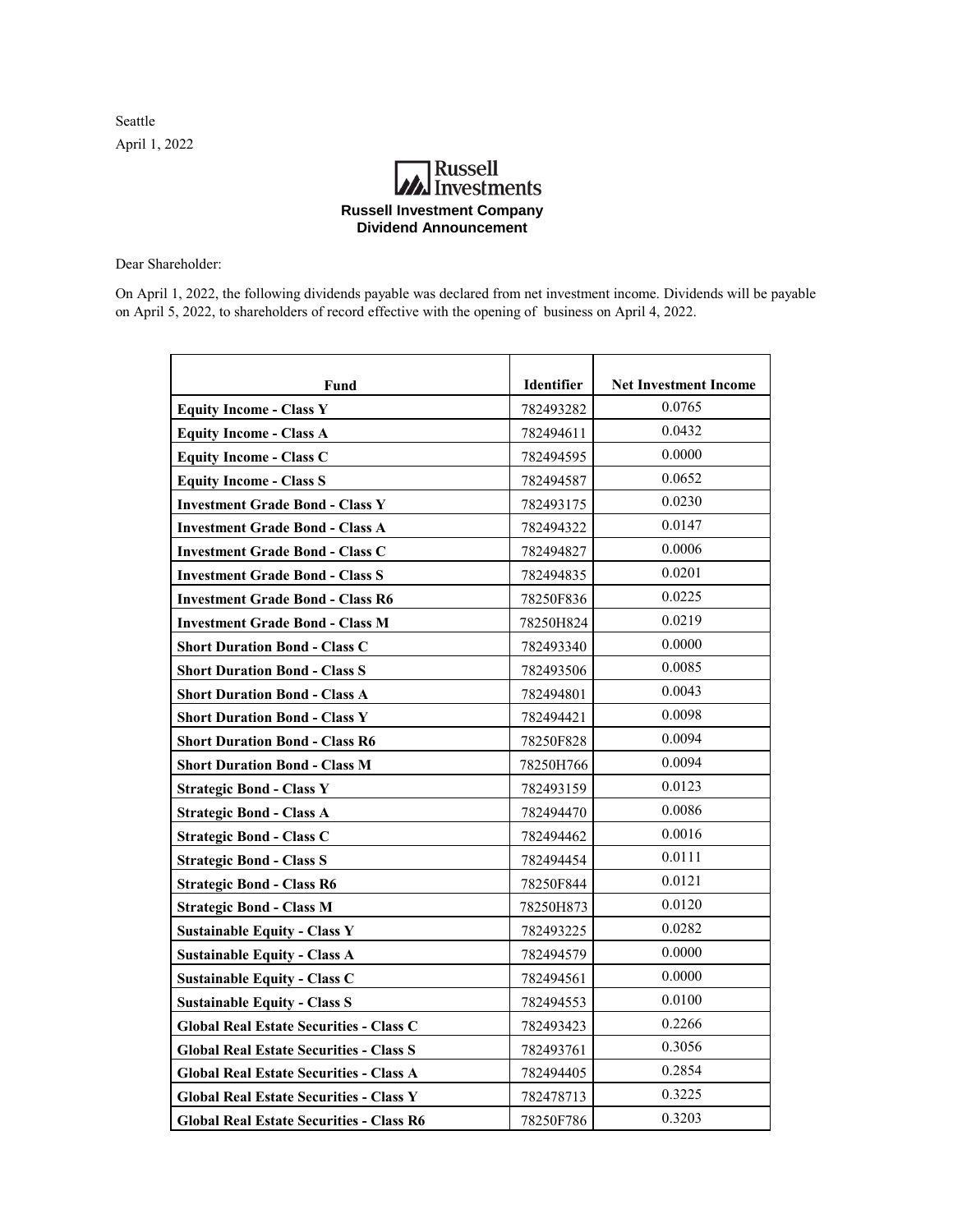Seattle April 1, 2022

## **Russell**<br>Investments **Russell Investment Company Dividend Announcement**

Dear Shareholder:

On April 1, 2022, the following dividends payable was declared from net investment income. Dividends will be payable on April 5, 2022, to shareholders of record effective with the opening of business on April 4, 2022.

| Fund                                            | Identifier | <b>Net Investment Income</b> |
|-------------------------------------------------|------------|------------------------------|
| <b>Equity Income - Class Y</b>                  | 782493282  | 0.0765                       |
| <b>Equity Income - Class A</b>                  | 782494611  | 0.0432                       |
| <b>Equity Income - Class C</b>                  | 782494595  | 0.0000                       |
| <b>Equity Income - Class S</b>                  | 782494587  | 0.0652                       |
| <b>Investment Grade Bond - Class Y</b>          | 782493175  | 0.0230                       |
| <b>Investment Grade Bond - Class A</b>          | 782494322  | 0.0147                       |
| <b>Investment Grade Bond - Class C</b>          | 782494827  | 0.0006                       |
| <b>Investment Grade Bond - Class S</b>          | 782494835  | 0.0201                       |
| <b>Investment Grade Bond - Class R6</b>         | 78250F836  | 0.0225                       |
| <b>Investment Grade Bond - Class M</b>          | 78250H824  | 0.0219                       |
| <b>Short Duration Bond - Class C</b>            | 782493340  | 0.0000                       |
| <b>Short Duration Bond - Class S</b>            | 782493506  | 0.0085                       |
| <b>Short Duration Bond - Class A</b>            | 782494801  | 0.0043                       |
| <b>Short Duration Bond - Class Y</b>            | 782494421  | 0.0098                       |
| <b>Short Duration Bond - Class R6</b>           | 78250F828  | 0.0094                       |
| <b>Short Duration Bond - Class M</b>            | 78250H766  | 0.0094                       |
| <b>Strategic Bond - Class Y</b>                 | 782493159  | 0.0123                       |
| <b>Strategic Bond - Class A</b>                 | 782494470  | 0.0086                       |
| <b>Strategic Bond - Class C</b>                 | 782494462  | 0.0016                       |
| <b>Strategic Bond - Class S</b>                 | 782494454  | 0.0111                       |
| <b>Strategic Bond - Class R6</b>                | 78250F844  | 0.0121                       |
| <b>Strategic Bond - Class M</b>                 | 78250H873  | 0.0120                       |
| <b>Sustainable Equity - Class Y</b>             | 782493225  | 0.0282                       |
| <b>Sustainable Equity - Class A</b>             | 782494579  | 0.0000                       |
| <b>Sustainable Equity - Class C</b>             | 782494561  | 0.0000                       |
| <b>Sustainable Equity - Class S</b>             | 782494553  | 0.0100                       |
| <b>Global Real Estate Securities - Class C</b>  | 782493423  | 0.2266                       |
| <b>Global Real Estate Securities - Class S</b>  | 782493761  | 0.3056                       |
| <b>Global Real Estate Securities - Class A</b>  | 782494405  | 0.2854                       |
| <b>Global Real Estate Securities - Class Y</b>  | 782478713  | 0.3225                       |
| <b>Global Real Estate Securities - Class R6</b> | 78250F786  | 0.3203                       |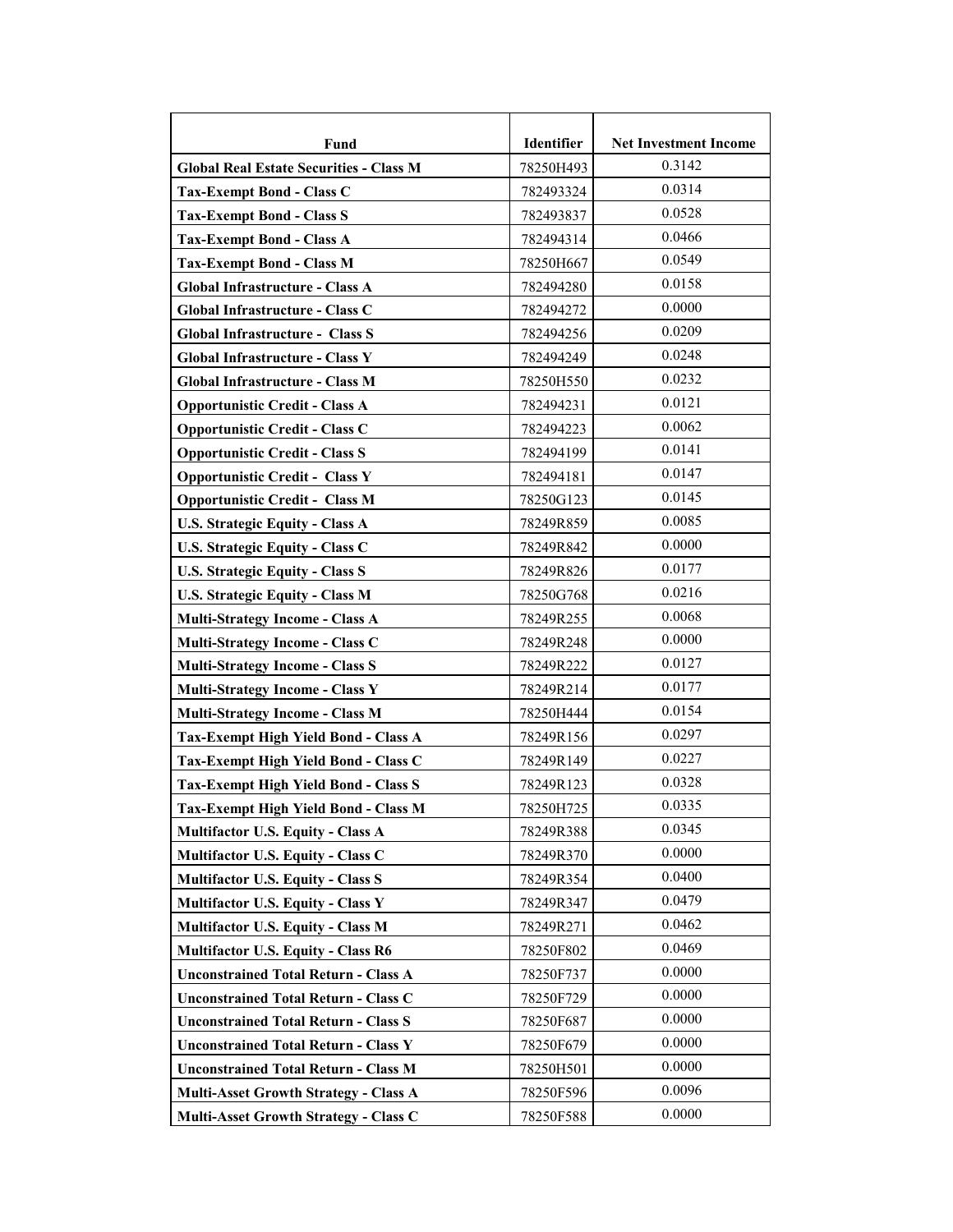| <b>Fund</b>                                    | Identifier | <b>Net Investment Income</b> |
|------------------------------------------------|------------|------------------------------|
| <b>Global Real Estate Securities - Class M</b> | 78250H493  | 0.3142                       |
| <b>Tax-Exempt Bond - Class C</b>               | 782493324  | 0.0314                       |
| <b>Tax-Exempt Bond - Class S</b>               | 782493837  | 0.0528                       |
| <b>Tax-Exempt Bond - Class A</b>               | 782494314  | 0.0466                       |
| <b>Tax-Exempt Bond - Class M</b>               | 78250H667  | 0.0549                       |
| Global Infrastructure - Class A                | 782494280  | 0.0158                       |
| Global Infrastructure - Class C                | 782494272  | 0.0000                       |
| <b>Global Infrastructure - Class S</b>         | 782494256  | 0.0209                       |
| Global Infrastructure - Class Y                | 782494249  | 0.0248                       |
| Global Infrastructure - Class M                | 78250H550  | 0.0232                       |
| <b>Opportunistic Credit - Class A</b>          | 782494231  | 0.0121                       |
| <b>Opportunistic Credit - Class C</b>          | 782494223  | 0.0062                       |
| <b>Opportunistic Credit - Class S</b>          | 782494199  | 0.0141                       |
| <b>Opportunistic Credit - Class Y</b>          | 782494181  | 0.0147                       |
| <b>Opportunistic Credit - Class M</b>          | 78250G123  | 0.0145                       |
| <b>U.S. Strategic Equity - Class A</b>         | 78249R859  | 0.0085                       |
| U.S. Strategic Equity - Class C                | 78249R842  | 0.0000                       |
| <b>U.S. Strategic Equity - Class S</b>         | 78249R826  | 0.0177                       |
| <b>U.S. Strategic Equity - Class M</b>         | 78250G768  | 0.0216                       |
| <b>Multi-Strategy Income - Class A</b>         | 78249R255  | 0.0068                       |
| Multi-Strategy Income - Class C                | 78249R248  | 0.0000                       |
| <b>Multi-Strategy Income - Class S</b>         | 78249R222  | 0.0127                       |
| <b>Multi-Strategy Income - Class Y</b>         | 78249R214  | 0.0177                       |
| <b>Multi-Strategy Income - Class M</b>         | 78250H444  | 0.0154                       |
| Tax-Exempt High Yield Bond - Class A           | 78249R156  | 0.0297                       |
| Tax-Exempt High Yield Bond - Class C           | 78249R149  | 0.0227                       |
| <b>Tax-Exempt High Yield Bond - Class S</b>    | 78249R123  | 0.0328                       |
| Tax-Exempt High Yield Bond - Class M           | 78250H725  | 0.0335                       |
| <b>Multifactor U.S. Equity - Class A</b>       | 78249R388  | 0.0345                       |
| Multifactor U.S. Equity - Class C              | 78249R370  | 0.0000                       |
| <b>Multifactor U.S. Equity - Class S</b>       | 78249R354  | 0.0400                       |
| <b>Multifactor U.S. Equity - Class Y</b>       | 78249R347  | 0.0479                       |
| <b>Multifactor U.S. Equity - Class M</b>       | 78249R271  | 0.0462                       |
| <b>Multifactor U.S. Equity - Class R6</b>      | 78250F802  | 0.0469                       |
| <b>Unconstrained Total Return - Class A</b>    | 78250F737  | 0.0000                       |
| <b>Unconstrained Total Return - Class C</b>    | 78250F729  | 0.0000                       |
| <b>Unconstrained Total Return - Class S</b>    | 78250F687  | 0.0000                       |
| <b>Unconstrained Total Return - Class Y</b>    | 78250F679  | 0.0000                       |
| <b>Unconstrained Total Return - Class M</b>    | 78250H501  | 0.0000                       |
| <b>Multi-Asset Growth Strategy - Class A</b>   | 78250F596  | 0.0096                       |
| Multi-Asset Growth Strategy - Class C          | 78250F588  | 0.0000                       |